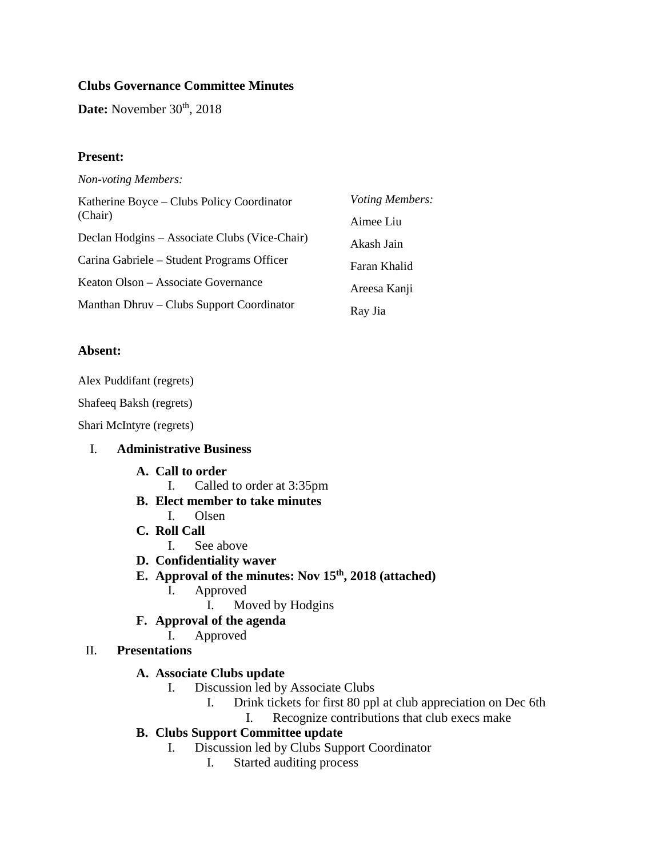## **Clubs Governance Committee Minutes**

Date: November 30<sup>th</sup>, 2018

### **Present:**

| <b>Non-voting Members:</b> |  |
|----------------------------|--|
|----------------------------|--|

| Katherine Boyce – Clubs Policy Coordinator<br>(Chair) | Voting Members: |
|-------------------------------------------------------|-----------------|
|                                                       | Aimee Liu       |
| Declan Hodgins – Associate Clubs (Vice-Chair)         | Akash Jain      |
| Carina Gabriele – Student Programs Officer            | Faran Khalid    |
| Keaton Olson – Associate Governance                   | Areesa Kanji    |
| Manthan Dhruv – Clubs Support Coordinator             | Ray Jia         |

### **Absent:**

Alex Puddifant (regrets)

Shafeeq Baksh (regrets)

Shari McIntyre (regrets)

## I. **Administrative Business**

### **A. Call to order**

- I. Called to order at 3:35pm
- **B. Elect member to take minutes**
	- I. Olsen
- **C. Roll Call**
	- I. See above
- **D. Confidentiality waver**
- **E. Approval of the minutes: Nov 15th, 2018 (attached)**
	- I. Approved
		- I. Moved by Hodgins
- **F. Approval of the agenda**
	- I. Approved
- II. **Presentations**

### **A. Associate Clubs update**

- I. Discussion led by Associate Clubs
	- I. Drink tickets for first 80 ppl at club appreciation on Dec 6th
		- I. Recognize contributions that club execs make
- **B. Clubs Support Committee update**
	- I. Discussion led by Clubs Support Coordinator
		- I. Started auditing process